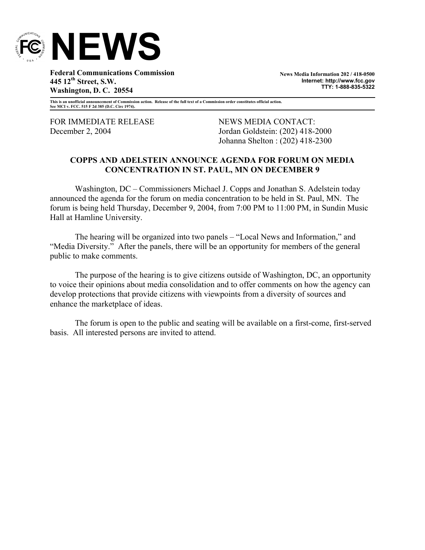

**Federal Communications Commission 445 12th Street, S.W. Washington, D. C. 20554** 

**News Media Information 202 / 418-0500 Internet: http://www.fcc.gov TTY: 1-888-835-5322**

**This is an unofficial announcement of Commission action. Release of the full text of a Commission order constitutes official action. See MCI v. FCC. 515 F 2d 385 (D.C. Circ 1974).** 

FOR IMMEDIATE RELEASE NEWS MEDIA CONTACT:

December 2, 2004 Jordan Goldstein: (202) 418-2000 Johanna Shelton : (202) 418-2300

## **COPPS AND ADELSTEIN ANNOUNCE AGENDA FOR FORUM ON MEDIA CONCENTRATION IN ST. PAUL, MN ON DECEMBER 9**

Washington, DC – Commissioners Michael J. Copps and Jonathan S. Adelstein today announced the agenda for the forum on media concentration to be held in St. Paul, MN. The forum is being held Thursday, December 9, 2004, from 7:00 PM to 11:00 PM, in Sundin Music Hall at Hamline University.

The hearing will be organized into two panels – "Local News and Information," and "Media Diversity." After the panels, there will be an opportunity for members of the general public to make comments.

The purpose of the hearing is to give citizens outside of Washington, DC, an opportunity to voice their opinions about media consolidation and to offer comments on how the agency can develop protections that provide citizens with viewpoints from a diversity of sources and enhance the marketplace of ideas.

 The forum is open to the public and seating will be available on a first-come, first-served basis. All interested persons are invited to attend.